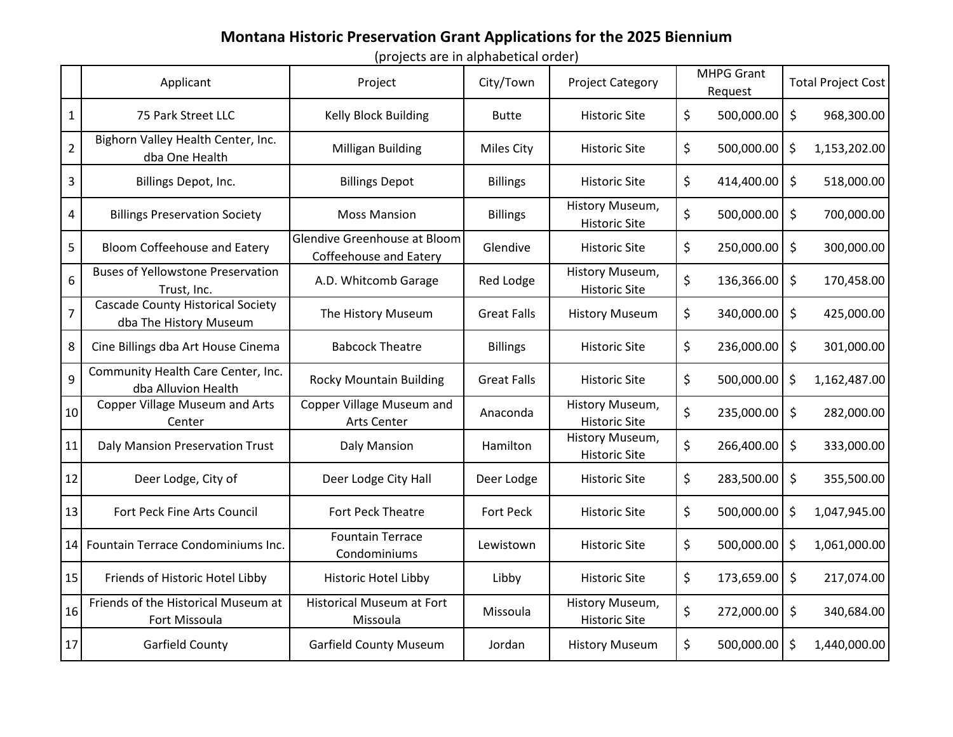## **Montana Historic Preservation Grant Applications for the 2025 Biennium**

(projects are in alphabetical order)

|                         | Applicant                                                          | Project                                                | City/Town          | <b>Project Category</b>                 | <b>MHPG Grant</b><br>Request |            | <b>Total Project Cost</b> |              |
|-------------------------|--------------------------------------------------------------------|--------------------------------------------------------|--------------------|-----------------------------------------|------------------------------|------------|---------------------------|--------------|
| $\mathbf{1}$            | 75 Park Street LLC                                                 | Kelly Block Building                                   | <b>Butte</b>       | <b>Historic Site</b>                    | \$                           | 500,000.00 | \$                        | 968,300.00   |
| $\overline{2}$          | Bighorn Valley Health Center, Inc.<br>dba One Health               | <b>Milligan Building</b>                               | <b>Miles City</b>  | <b>Historic Site</b>                    | \$                           | 500,000.00 | \$                        | 1,153,202.00 |
| $\overline{3}$          | Billings Depot, Inc.                                               | <b>Billings Depot</b>                                  | <b>Billings</b>    | <b>Historic Site</b>                    | \$                           | 414,400.00 | \$                        | 518,000.00   |
| $\overline{\mathbf{4}}$ | <b>Billings Preservation Society</b>                               | <b>Moss Mansion</b>                                    | <b>Billings</b>    | History Museum,<br><b>Historic Site</b> | \$                           | 500,000.00 | \$                        | 700,000.00   |
| 5                       | <b>Bloom Coffeehouse and Eatery</b>                                | Glendive Greenhouse at Bloom<br>Coffeehouse and Eatery | Glendive           | <b>Historic Site</b>                    | \$                           | 250,000.00 | \$                        | 300,000.00   |
| 6                       | <b>Buses of Yellowstone Preservation</b><br>Trust, Inc.            | A.D. Whitcomb Garage                                   | Red Lodge          | History Museum,<br><b>Historic Site</b> | \$                           | 136,366.00 | \$                        | 170,458.00   |
| $\overline{7}$          | <b>Cascade County Historical Society</b><br>dba The History Museum | The History Museum                                     | <b>Great Falls</b> | <b>History Museum</b>                   | \$                           | 340,000.00 | \$                        | 425,000.00   |
| 8                       | Cine Billings dba Art House Cinema                                 | <b>Babcock Theatre</b>                                 | <b>Billings</b>    | <b>Historic Site</b>                    | \$                           | 236,000.00 | \$                        | 301,000.00   |
| 9                       | Community Health Care Center, Inc.<br>dba Alluvion Health          | <b>Rocky Mountain Building</b>                         | <b>Great Falls</b> | <b>Historic Site</b>                    | \$                           | 500,000.00 | \$                        | 1,162,487.00 |
| 10                      | <b>Copper Village Museum and Arts</b><br>Center                    | Copper Village Museum and<br>Arts Center               | Anaconda           | History Museum,<br><b>Historic Site</b> | \$                           | 235,000.00 | \$                        | 282,000.00   |
| 11                      | Daly Mansion Preservation Trust                                    | Daly Mansion                                           | Hamilton           | History Museum,<br><b>Historic Site</b> | \$                           | 266,400.00 | \$                        | 333,000.00   |
| 12                      | Deer Lodge, City of                                                | Deer Lodge City Hall                                   | Deer Lodge         | <b>Historic Site</b>                    | \$                           | 283,500.00 | \$                        | 355,500.00   |
| 13                      | Fort Peck Fine Arts Council                                        | Fort Peck Theatre                                      | <b>Fort Peck</b>   | <b>Historic Site</b>                    | \$                           | 500,000.00 | \$                        | 1,047,945.00 |
|                         | 14 Fountain Terrace Condominiums Inc.                              | <b>Fountain Terrace</b><br>Condominiums                | Lewistown          | <b>Historic Site</b>                    | \$                           | 500,000.00 | \$                        | 1,061,000.00 |
| 15                      | Friends of Historic Hotel Libby                                    | Historic Hotel Libby                                   | Libby              | <b>Historic Site</b>                    | \$                           | 173,659.00 | \$                        | 217,074.00   |
| 16                      | Friends of the Historical Museum at<br>Fort Missoula               | <b>Historical Museum at Fort</b><br>Missoula           | Missoula           | History Museum,<br><b>Historic Site</b> | \$                           | 272,000.00 | \$                        | 340,684.00   |
| 17                      | Garfield County                                                    | <b>Garfield County Museum</b>                          | Jordan             | <b>History Museum</b>                   | \$                           | 500,000.00 | \$                        | 1,440,000.00 |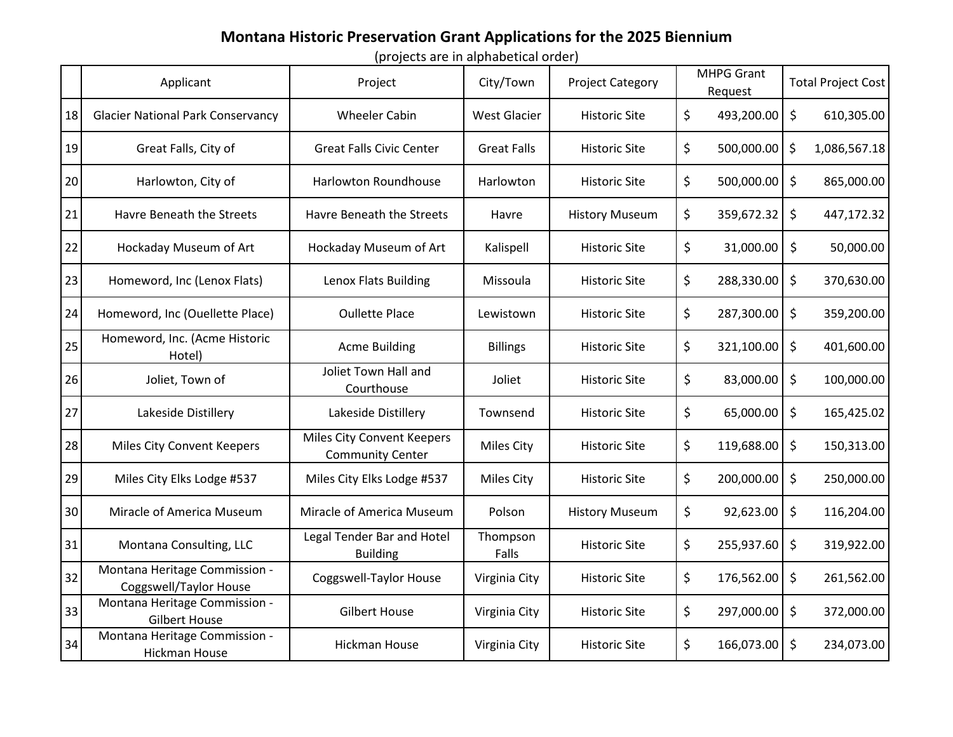## **Montana Historic Preservation Grant Applications for the 2025 Biennium**

(projects are in alphabetical order)

|    | Applicant                                               | Project                                               | City/Town           | <b>Project Category</b> | <b>MHPG Grant</b><br>Request |            | <b>Total Project Cost</b> |              |
|----|---------------------------------------------------------|-------------------------------------------------------|---------------------|-------------------------|------------------------------|------------|---------------------------|--------------|
| 18 | <b>Glacier National Park Conservancy</b>                | <b>Wheeler Cabin</b>                                  | <b>West Glacier</b> | <b>Historic Site</b>    | \$                           | 493,200.00 | \$                        | 610,305.00   |
| 19 | Great Falls, City of                                    | <b>Great Falls Civic Center</b>                       | <b>Great Falls</b>  | <b>Historic Site</b>    | \$                           | 500,000.00 | \$                        | 1,086,567.18 |
| 20 | Harlowton, City of                                      | <b>Harlowton Roundhouse</b>                           | Harlowton           | <b>Historic Site</b>    | \$                           | 500,000.00 | \$                        | 865,000.00   |
| 21 | Havre Beneath the Streets                               | Havre Beneath the Streets                             | Havre               | <b>History Museum</b>   | \$                           | 359,672.32 | \$                        | 447,172.32   |
| 22 | Hockaday Museum of Art                                  | Hockaday Museum of Art                                | Kalispell           | <b>Historic Site</b>    | \$                           | 31,000.00  | \$                        | 50,000.00    |
| 23 | Homeword, Inc (Lenox Flats)                             | Lenox Flats Building                                  | Missoula            | <b>Historic Site</b>    | \$                           | 288,330.00 | \$                        | 370,630.00   |
| 24 | Homeword, Inc (Ouellette Place)                         | <b>Oullette Place</b>                                 | Lewistown           | <b>Historic Site</b>    | \$                           | 287,300.00 | \$                        | 359,200.00   |
| 25 | Homeword, Inc. (Acme Historic<br>Hotel)                 | <b>Acme Building</b>                                  | <b>Billings</b>     | <b>Historic Site</b>    | \$                           | 321,100.00 | \$                        | 401,600.00   |
| 26 | Joliet, Town of                                         | Joliet Town Hall and<br>Courthouse                    | Joliet              | <b>Historic Site</b>    | \$                           | 83,000.00  | \$                        | 100,000.00   |
| 27 | Lakeside Distillery                                     | Lakeside Distillery                                   | Townsend            | <b>Historic Site</b>    | \$                           | 65,000.00  | \$                        | 165,425.02   |
| 28 | Miles City Convent Keepers                              | Miles City Convent Keepers<br><b>Community Center</b> | <b>Miles City</b>   | <b>Historic Site</b>    | \$                           | 119,688.00 | \$                        | 150,313.00   |
| 29 | Miles City Elks Lodge #537                              | Miles City Elks Lodge #537                            | <b>Miles City</b>   | <b>Historic Site</b>    | \$                           | 200,000.00 | \$                        | 250,000.00   |
| 30 | Miracle of America Museum                               | Miracle of America Museum                             | Polson              | <b>History Museum</b>   | \$                           | 92,623.00  | \$                        | 116,204.00   |
| 31 | Montana Consulting, LLC                                 | Legal Tender Bar and Hotel<br><b>Building</b>         | Thompson<br>Falls   | <b>Historic Site</b>    | \$                           | 255,937.60 | \$                        | 319,922.00   |
| 32 | Montana Heritage Commission -<br>Coggswell/Taylor House | <b>Coggswell-Taylor House</b>                         | Virginia City       | <b>Historic Site</b>    | \$                           | 176,562.00 | \$                        | 261,562.00   |
| 33 | Montana Heritage Commission -<br><b>Gilbert House</b>   | <b>Gilbert House</b>                                  | Virginia City       | <b>Historic Site</b>    | \$                           | 297,000.00 | \$                        | 372,000.00   |
| 34 | Montana Heritage Commission -<br><b>Hickman House</b>   | <b>Hickman House</b>                                  | Virginia City       | <b>Historic Site</b>    | \$                           | 166,073.00 | \$                        | 234,073.00   |